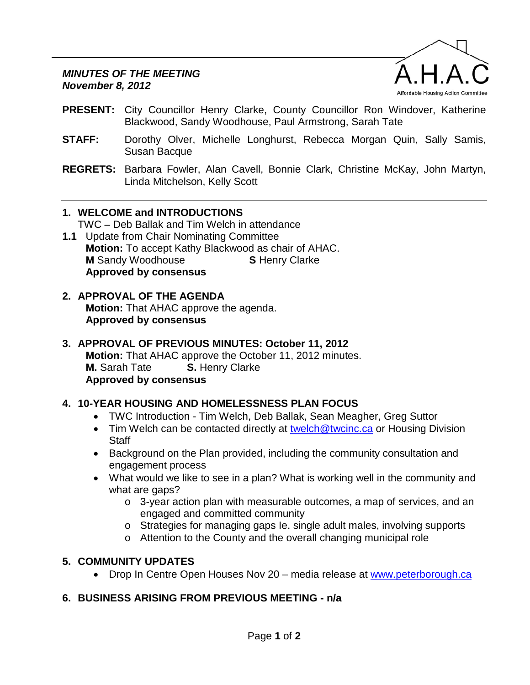

- **PRESENT:** City Councillor Henry Clarke, County Councillor Ron Windover, Katherine Blackwood, Sandy Woodhouse, Paul Armstrong, Sarah Tate
- **STAFF:** Dorothy Olver, Michelle Longhurst, Rebecca Morgan Quin, Sally Samis, Susan Bacque
- **REGRETS:** Barbara Fowler, Alan Cavell, Bonnie Clark, Christine McKay, John Martyn, Linda Mitchelson, Kelly Scott

## **1. WELCOME and INTRODUCTIONS**

TWC – Deb Ballak and Tim Welch in attendance

**1.1** Update from Chair Nominating Committee **Motion:** To accept Kathy Blackwood as chair of AHAC. **M** Sandy Woodhouse **S** Henry Clarke **Approved by consensus**

#### **2. APPROVAL OF THE AGENDA Motion:** That AHAC approve the agenda. **Approved by consensus**

### **3. APPROVAL OF PREVIOUS MINUTES: October 11, 2012 Motion:** That AHAC approve the October 11, 2012 minutes.<br>**M.** Sarah Tate **S.** Henry Clarke **S.** Henry Clarke **Approved by consensus**

## **4. 10-YEAR HOUSING AND HOMELESSNESS PLAN FOCUS**

- TWC Introduction Tim Welch, Deb Ballak, Sean Meagher, Greg Suttor
- Tim Welch can be contacted directly at [twelch@twcinc.ca](mailto:twelch@twcinc.ca) or Housing Division **Staff**
- Background on the Plan provided, including the community consultation and engagement process
- What would we like to see in a plan? What is working well in the community and what are gaps?
	- o 3-year action plan with measurable outcomes, a map of services, and an engaged and committed community
	- o Strategies for managing gaps Ie. single adult males, involving supports
	- o Attention to the County and the overall changing municipal role

## **5. COMMUNITY UPDATES**

• Drop In Centre Open Houses Nov 20 – media release at [www.peterborough.ca](http://www.peterborough.ca/)

## **6. BUSINESS ARISING FROM PREVIOUS MEETING - n/a**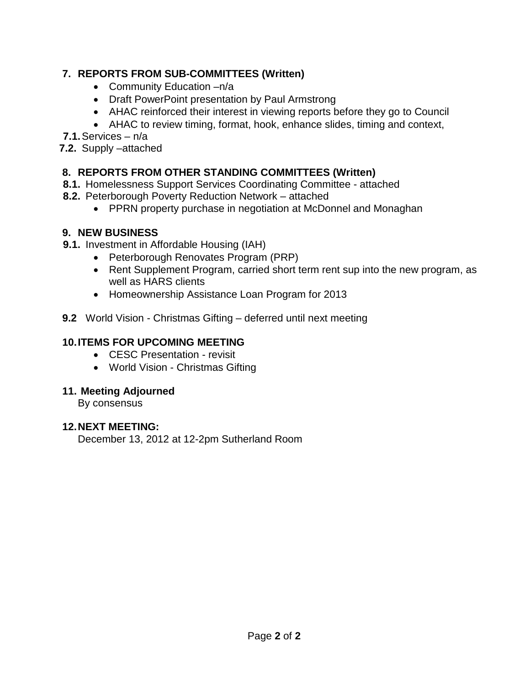# **7. REPORTS FROM SUB-COMMITTEES (Written)**

- Community Education –n/a
- Draft PowerPoint presentation by Paul Armstrong
- AHAC reinforced their interest in viewing reports before they go to Council
- AHAC to review timing, format, hook, enhance slides, timing and context,

**7.1.**Services – n/a

**7.2.** Supply –attached

## **8. REPORTS FROM OTHER STANDING COMMITTEES (Written)**

- **8.1.** Homelessness Support Services Coordinating Committee attached
- **8.2.** Peterborough Poverty Reduction Network attached
	- PPRN property purchase in negotiation at McDonnel and Monaghan

## **9. NEW BUSINESS**

- **9.1.** Investment in Affordable Housing (IAH)
	- Peterborough Renovates Program (PRP)
	- Rent Supplement Program, carried short term rent sup into the new program, as well as HARS clients
	- Homeownership Assistance Loan Program for 2013
- **9.2** World Vision Christmas Gifting deferred until next meeting

# **10.ITEMS FOR UPCOMING MEETING**

- CESC Presentation revisit
- World Vision Christmas Gifting

## **11. Meeting Adjourned**

By consensus

## **12.NEXT MEETING:**

December 13, 2012 at 12-2pm Sutherland Room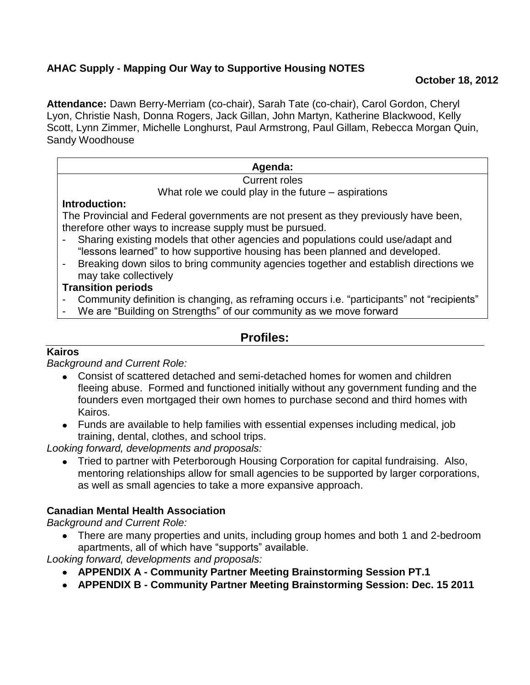### **October 18, 2012**

**Attendance:** Dawn Berry-Merriam (co-chair), Sarah Tate (co-chair), Carol Gordon, Cheryl Lyon, Christie Nash, Donna Rogers, Jack Gillan, John Martyn, Katherine Blackwood, Kelly Scott, Lynn Zimmer, Michelle Longhurst, Paul Armstrong, Paul Gillam, Rebecca Morgan Quin, Sandy Woodhouse

#### **Agenda:**

#### Current roles

What role we could play in the future – aspirations

#### **Introduction:**

The Provincial and Federal governments are not present as they previously have been, therefore other ways to increase supply must be pursued.

- Sharing existing models that other agencies and populations could use/adapt and "lessons learned" to how supportive housing has been planned and developed.
- Breaking down silos to bring community agencies together and establish directions we may take collectively

### **Transition periods**

- Community definition is changing, as reframing occurs i.e. "participants" not "recipients"
- We are "Building on Strengths" of our community as we move forward

# **Profiles:**

## **Kairos**

*Background and Current Role:*

- Consist of scattered detached and semi-detached homes for women and children fleeing abuse. Formed and functioned initially without any government funding and the founders even mortgaged their own homes to purchase second and third homes with Kairos.
- Funds are available to help families with essential expenses including medical, job training, dental, clothes, and school trips.

*Looking forward, developments and proposals:*

Tried to partner with Peterborough Housing Corporation for capital fundraising. Also, mentoring relationships allow for small agencies to be supported by larger corporations, as well as small agencies to take a more expansive approach.

## **Canadian Mental Health Association**

*Background and Current Role:*

There are many properties and units, including group homes and both 1 and 2-bedroom apartments, all of which have "supports" available.

- **APPENDIX A - Community Partner Meeting Brainstorming Session PT.1**
- **APPENDIX B - Community Partner Meeting Brainstorming Session: Dec. 15 2011**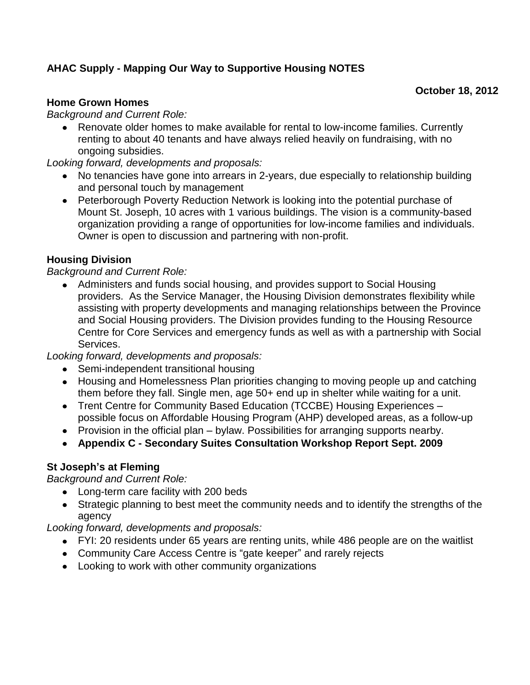## **October 18, 2012**

#### **Home Grown Homes**

*Background and Current Role:*

Renovate older homes to make available for rental to low-income families. Currently renting to about 40 tenants and have always relied heavily on fundraising, with no ongoing subsidies.

*Looking forward, developments and proposals:*

- No tenancies have gone into arrears in 2-years, due especially to relationship building and personal touch by management
- Peterborough Poverty Reduction Network is looking into the potential purchase of Mount St. Joseph, 10 acres with 1 various buildings. The vision is a community-based organization providing a range of opportunities for low-income families and individuals. Owner is open to discussion and partnering with non-profit.

### **Housing Division**

#### *Background and Current Role:*

Administers and funds social housing, and provides support to Social Housing providers. As the Service Manager, the Housing Division demonstrates flexibility while assisting with property developments and managing relationships between the Province and Social Housing providers. The Division provides funding to the Housing Resource Centre for Core Services and emergency funds as well as with a partnership with Social Services.

*Looking forward, developments and proposals:*

- Semi-independent transitional housing
- Housing and Homelessness Plan priorities changing to moving people up and catching them before they fall. Single men, age 50+ end up in shelter while waiting for a unit.
- Trent Centre for Community Based Education (TCCBE) Housing Experiences possible focus on Affordable Housing Program (AHP) developed areas, as a follow-up
- Provision in the official plan bylaw. Possibilities for arranging supports nearby.
- **Appendix C - Secondary Suites Consultation Workshop Report Sept. 2009**

## **St Joseph's at Fleming**

*Background and Current Role:*

- Long-term care facility with 200 beds
- Strategic planning to best meet the community needs and to identify the strengths of the agency

- FYI: 20 residents under 65 years are renting units, while 486 people are on the waitlist
- Community Care Access Centre is "gate keeper" and rarely rejects
- Looking to work with other community organizations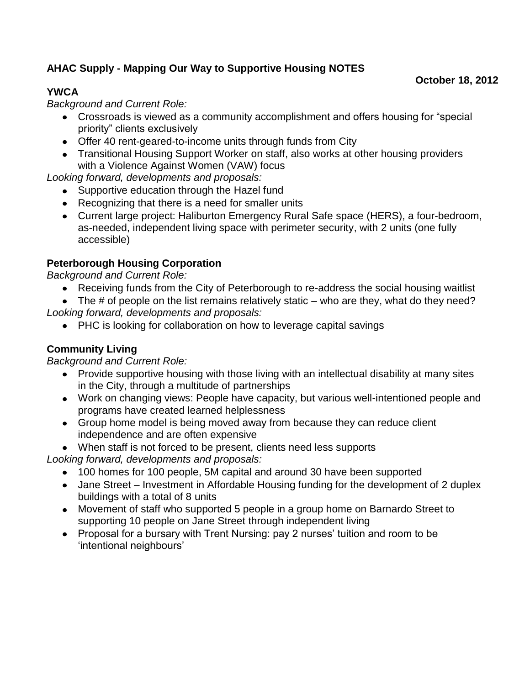# **YWCA**

*Background and Current Role:*

Crossroads is viewed as a community accomplishment and offers housing for "special priority" clients exclusively

**October 18, 2012**

- Offer 40 rent-geared-to-income units through funds from City
- Transitional Housing Support Worker on staff, also works at other housing providers with a Violence Against Women (VAW) focus

*Looking forward, developments and proposals:*

- Supportive education through the Hazel fund
- Recognizing that there is a need for smaller units
- Current large project: Haliburton Emergency Rural Safe space (HERS), a four-bedroom, as-needed, independent living space with perimeter security, with 2 units (one fully accessible)

# **Peterborough Housing Corporation**

*Background and Current Role:*

- Receiving funds from the City of Peterborough to re-address the social housing waitlist
- $\bullet$  The # of people on the list remains relatively static who are they, what do they need? *Looking forward, developments and proposals:*
	- PHC is looking for collaboration on how to leverage capital savings

# **Community Living**

*Background and Current Role:*

- Provide supportive housing with those living with an intellectual disability at many sites in the City, through a multitude of partnerships
- Work on changing views: People have capacity, but various well-intentioned people and programs have created learned helplessness
- Group home model is being moved away from because they can reduce client independence and are often expensive
- When staff is not forced to be present, clients need less supports

- 100 homes for 100 people, 5M capital and around 30 have been supported
- Jane Street Investment in Affordable Housing funding for the development of 2 duplex buildings with a total of 8 units
- Movement of staff who supported 5 people in a group home on Barnardo Street to supporting 10 people on Jane Street through independent living
- Proposal for a bursary with Trent Nursing: pay 2 nurses' tuition and room to be 'intentional neighbours'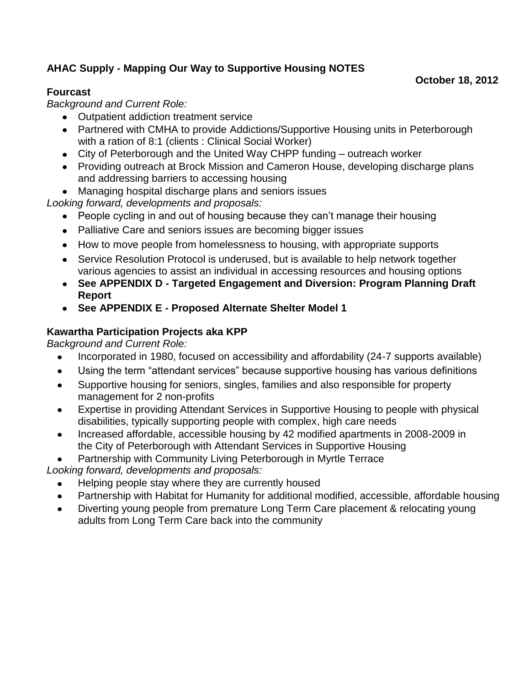# **Fourcast**

*Background and Current Role:*

- Outpatient addiction treatment service
- Partnered with CMHA to provide Addictions/Supportive Housing units in Peterborough with a ration of 8:1 (clients : Clinical Social Worker)

**October 18, 2012**

- City of Peterborough and the United Way CHPP funding outreach worker
- Providing outreach at Brock Mission and Cameron House, developing discharge plans and addressing barriers to accessing housing
- Managing hospital discharge plans and seniors issues

*Looking forward, developments and proposals:*

- People cycling in and out of housing because they can't manage their housing
- Palliative Care and seniors issues are becoming bigger issues
- How to move people from homelessness to housing, with appropriate supports
- Service Resolution Protocol is underused, but is available to help network together various agencies to assist an individual in accessing resources and housing options
- **See APPENDIX D - Targeted Engagement and Diversion: Program Planning Draft Report**
- **See APPENDIX E - Proposed Alternate Shelter Model 1**

# **Kawartha Participation Projects aka KPP**

*Background and Current Role:* 

- Incorporated in 1980, focused on accessibility and affordability (24-7 supports available)
- Using the term "attendant services" because supportive housing has various definitions  $\bullet$
- Supportive housing for seniors, singles, families and also responsible for property  $\bullet$ management for 2 non-profits
- Expertise in providing Attendant Services in Supportive Housing to people with physical  $\bullet$ disabilities, typically supporting people with complex, high care needs
- Increased affordable, accessible housing by 42 modified apartments in 2008-2009 in the City of Peterborough with Attendant Services in Supportive Housing
- Partnership with Community Living Peterborough in Myrtle Terrace

- Helping people stay where they are currently housed
- Partnership with Habitat for Humanity for additional modified, accessible, affordable housing
- Diverting young people from premature Long Term Care placement & relocating young  $\bullet$ adults from Long Term Care back into the community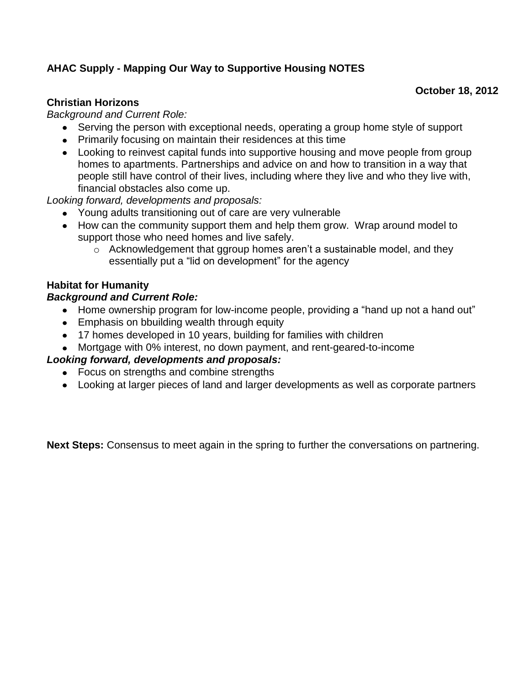## **October 18, 2012**

### **Christian Horizons**

*Background and Current Role:*

- Serving the person with exceptional needs, operating a group home style of support
- Primarily focusing on maintain their residences at this time
- Looking to reinvest capital funds into supportive housing and move people from group homes to apartments. Partnerships and advice on and how to transition in a way that people still have control of their lives, including where they live and who they live with, financial obstacles also come up.

*Looking forward, developments and proposals:*

- Young adults transitioning out of care are very vulnerable
- How can the community support them and help them grow. Wrap around model to support those who need homes and live safely.
	- o Acknowledgement that ggroup homes aren't a sustainable model, and they essentially put a "lid on development" for the agency

### **Habitat for Humanity**

#### *Background and Current Role:*

- Home ownership program for low-income people, providing a "hand up not a hand out"
- **Emphasis on bbuilding wealth through equity**
- 17 homes developed in 10 years, building for families with children
- Mortgage with 0% interest, no down payment, and rent-geared-to-income

#### *Looking forward, developments and proposals:*

- Focus on strengths and combine strengths
- Looking at larger pieces of land and larger developments as well as corporate partners

**Next Steps:** Consensus to meet again in the spring to further the conversations on partnering.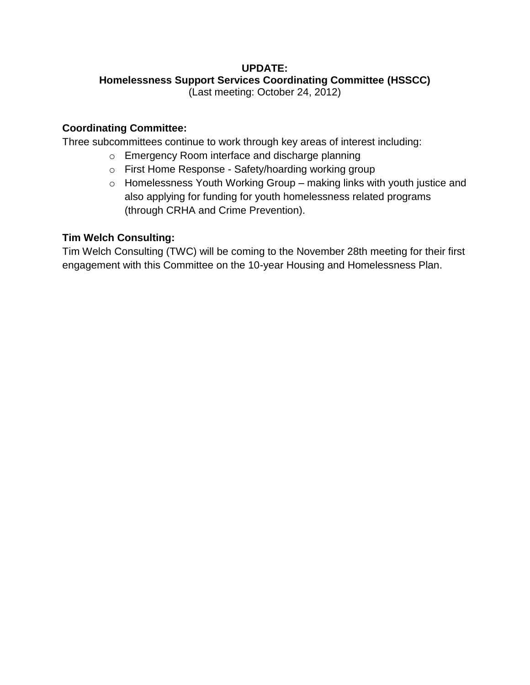# **UPDATE:**

## **Homelessness Support Services Coordinating Committee (HSSCC)**

(Last meeting: October 24, 2012)

## **Coordinating Committee:**

Three subcommittees continue to work through key areas of interest including:

- o Emergency Room interface and discharge planning
- o First Home Response Safety/hoarding working group
- o Homelessness Youth Working Group making links with youth justice and also applying for funding for youth homelessness related programs (through CRHA and Crime Prevention).

## **Tim Welch Consulting:**

Tim Welch Consulting (TWC) will be coming to the November 28th meeting for their first engagement with this Committee on the 10-year Housing and Homelessness Plan.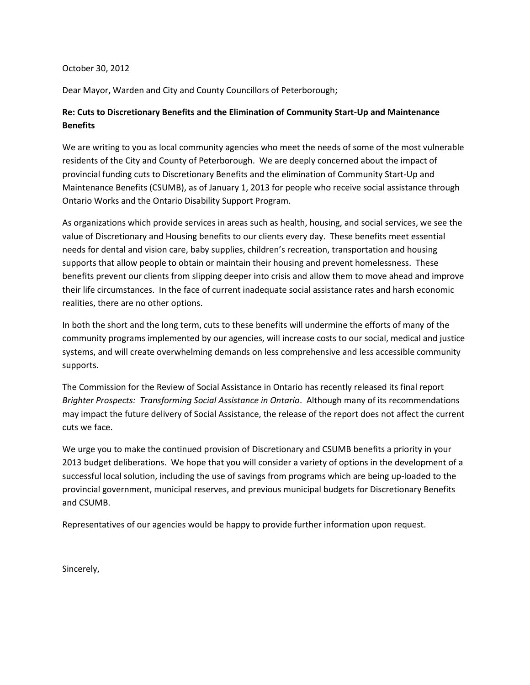#### October 30, 2012

Dear Mayor, Warden and City and County Councillors of Peterborough;

#### **Re: Cuts to Discretionary Benefits and the Elimination of Community Start-Up and Maintenance Benefits**

We are writing to you as local community agencies who meet the needs of some of the most vulnerable residents of the City and County of Peterborough. We are deeply concerned about the impact of provincial funding cuts to Discretionary Benefits and the elimination of Community Start-Up and Maintenance Benefits (CSUMB), as of January 1, 2013 for people who receive social assistance through Ontario Works and the Ontario Disability Support Program.

As organizations which provide services in areas such as health, housing, and social services, we see the value of Discretionary and Housing benefits to our clients every day. These benefits meet essential needs for dental and vision care, baby supplies, children's recreation, transportation and housing supports that allow people to obtain or maintain their housing and prevent homelessness. These benefits prevent our clients from slipping deeper into crisis and allow them to move ahead and improve their life circumstances. In the face of current inadequate social assistance rates and harsh economic realities, there are no other options.

In both the short and the long term, cuts to these benefits will undermine the efforts of many of the community programs implemented by our agencies, will increase costs to our social, medical and justice systems, and will create overwhelming demands on less comprehensive and less accessible community supports.

The Commission for the Review of Social Assistance in Ontario has recently released its final report *Brighter Prospects: Transforming Social Assistance in Ontario*. Although many of its recommendations may impact the future delivery of Social Assistance, the release of the report does not affect the current cuts we face.

We urge you to make the continued provision of Discretionary and CSUMB benefits a priority in your 2013 budget deliberations. We hope that you will consider a variety of options in the development of a successful local solution, including the use of savings from programs which are being up-loaded to the provincial government, municipal reserves, and previous municipal budgets for Discretionary Benefits and CSUMB.

Representatives of our agencies would be happy to provide further information upon request.

Sincerely,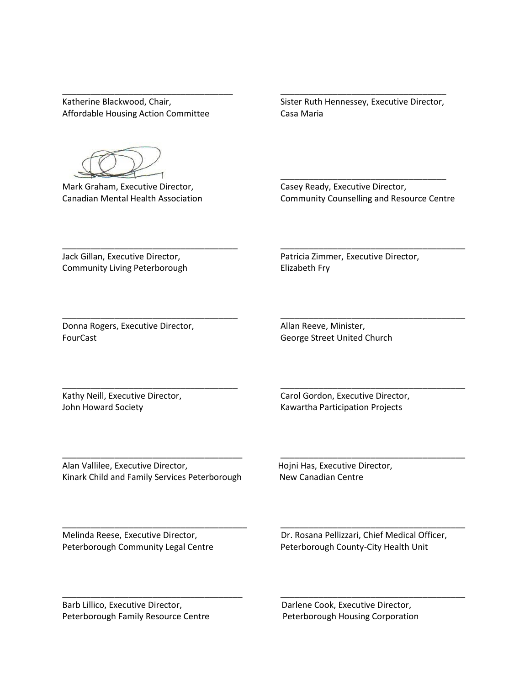Affordable Housing Action Committee **Casa Maria** 

Katherine Blackwood, Chair, Sister Ruth Hennessey, Executive Director,

\_\_\_\_\_\_\_\_\_\_\_\_\_\_\_\_\_\_\_\_\_\_\_\_\_\_\_\_\_\_\_\_\_\_\_\_ \_\_\_\_\_\_\_\_\_\_\_\_\_\_\_\_\_\_\_\_\_\_\_\_\_\_\_\_\_\_\_\_\_\_\_

\_\_\_\_\_\_\_\_\_\_\_\_\_\_\_\_\_\_\_\_\_\_\_\_\_\_\_\_\_\_\_\_\_\_\_\_\_ \_\_\_\_\_\_\_\_\_\_\_\_\_\_\_\_\_\_\_\_\_\_\_\_\_\_\_\_\_\_\_\_\_\_\_\_\_\_\_

\_\_\_\_\_\_\_\_\_\_\_\_\_\_\_\_\_\_\_\_\_\_\_\_\_\_\_\_\_\_\_\_\_\_\_\_\_ \_\_\_\_\_\_\_\_\_\_\_\_\_\_\_\_\_\_\_\_\_\_\_\_\_\_\_\_\_\_\_\_\_\_\_\_\_\_\_

\_\_\_\_\_\_\_\_\_\_\_\_\_\_\_\_\_\_\_\_\_\_\_\_\_\_\_\_\_\_\_\_\_\_\_\_\_ \_\_\_\_\_\_\_\_\_\_\_\_\_\_\_\_\_\_\_\_\_\_\_\_\_\_\_\_\_\_\_\_\_\_\_\_\_\_\_

\_\_\_\_\_\_\_\_\_\_\_\_\_\_\_\_\_\_\_\_\_\_\_\_\_\_\_\_\_\_\_\_\_\_\_\_\_\_ \_\_\_\_\_\_\_\_\_\_\_\_\_\_\_\_\_\_\_\_\_\_\_\_\_\_\_\_\_\_\_\_\_\_\_\_\_\_\_

\_\_\_\_\_\_\_\_\_\_\_\_\_\_\_\_\_\_\_\_\_\_\_\_\_\_\_\_\_\_\_\_\_\_\_\_\_\_\_ \_\_\_\_\_\_\_\_\_\_\_\_\_\_\_\_\_\_\_\_\_\_\_\_\_\_\_\_\_\_\_\_\_\_\_\_\_\_\_

\_\_\_\_\_\_\_\_\_\_\_\_\_\_\_\_\_\_\_\_\_\_\_\_\_\_\_\_\_\_\_\_\_\_\_\_\_\_ \_\_\_\_\_\_\_\_\_\_\_\_\_\_\_\_\_\_\_\_\_\_\_\_\_\_\_\_\_\_\_\_\_\_\_\_\_\_\_

Mark Graham, Executive Director, Casey Ready, Executive Director, Canadian Mental Health Association Community Counselling and Resource Centre

Community Living Peterborough **Elizabeth Fry** 

Jack Gillan, Executive Director, The Matricia Zimmer, Executive Director,

 $\overline{\phantom{a}}$  ,  $\overline{\phantom{a}}$  ,  $\overline{\phantom{a}}$  ,  $\overline{\phantom{a}}$  ,  $\overline{\phantom{a}}$  ,  $\overline{\phantom{a}}$  ,  $\overline{\phantom{a}}$  ,  $\overline{\phantom{a}}$  ,  $\overline{\phantom{a}}$  ,  $\overline{\phantom{a}}$  ,  $\overline{\phantom{a}}$  ,  $\overline{\phantom{a}}$  ,  $\overline{\phantom{a}}$  ,  $\overline{\phantom{a}}$  ,  $\overline{\phantom{a}}$  ,  $\overline{\phantom{a}}$ 

Donna Rogers, Executive Director, Allan Reeve, Minister, FourCast **George Street United Church** 

Kathy Neill, Executive Director, The Carol Gordon, Executive Director, John Howard Society **Marticipation Community** Kawartha Participation Projects

Alan Vallilee, Executive Director, The Massachuset Hojni Has, Executive Director, Kinark Child and Family Services Peterborough New Canadian Centre

Peterborough Community Legal Centre Peterborough County-City Health Unit

Melinda Reese, Executive Director, Dr. Rosana Pellizzari, Chief Medical Officer,

Barb Lillico, Executive Director, The Cook, Executive Director, Darlene Cook, Executive Director, Peterborough Family Resource Centre Peterborough Housing Corporation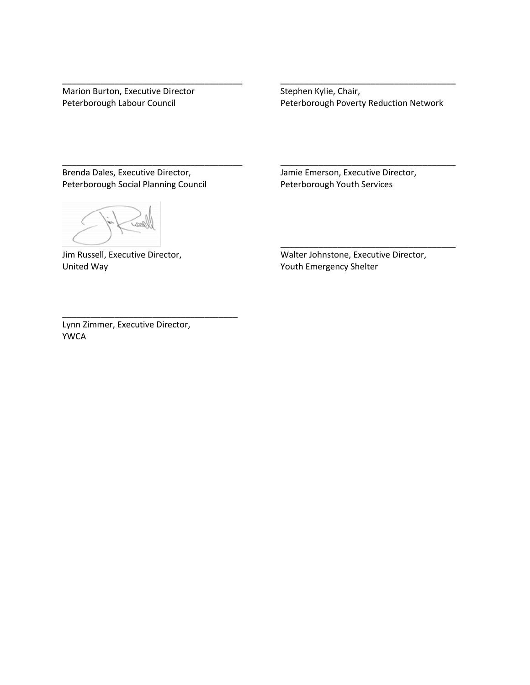Marion Burton, Executive Director Stephen Kylie, Chair,

Peterborough Labour Council **Peterborough Poverty Reduction Network** 

\_\_\_\_\_\_\_\_\_\_\_\_\_\_\_\_\_\_\_\_\_\_\_\_\_\_\_\_\_\_\_\_\_\_\_\_\_\_ \_\_\_\_\_\_\_\_\_\_\_\_\_\_\_\_\_\_\_\_\_\_\_\_\_\_\_\_\_\_\_\_\_\_\_\_\_

\_\_\_\_\_\_\_\_\_\_\_\_\_\_\_\_\_\_\_\_\_\_\_\_\_\_\_\_\_\_\_\_\_\_\_\_\_\_ \_\_\_\_\_\_\_\_\_\_\_\_\_\_\_\_\_\_\_\_\_\_\_\_\_\_\_\_\_\_\_\_\_\_\_\_\_

Brenda Dales, Executive Director, San Annie Emerson, Executive Director, International Annie Emerson, Executive Director, Peterborough Social Planning Council Peterborough Youth Services

United Way **Youth Emergency Shelter** 

Jim Russell, Executive Director, The Matter Johnstone, Executive Director,

\_\_\_\_\_\_\_\_\_\_\_\_\_\_\_\_\_\_\_\_\_\_\_\_\_\_\_\_\_\_\_\_\_\_\_\_\_

Lynn Zimmer, Executive Director, YWCA

\_\_\_\_\_\_\_\_\_\_\_\_\_\_\_\_\_\_\_\_\_\_\_\_\_\_\_\_\_\_\_\_\_\_\_\_\_